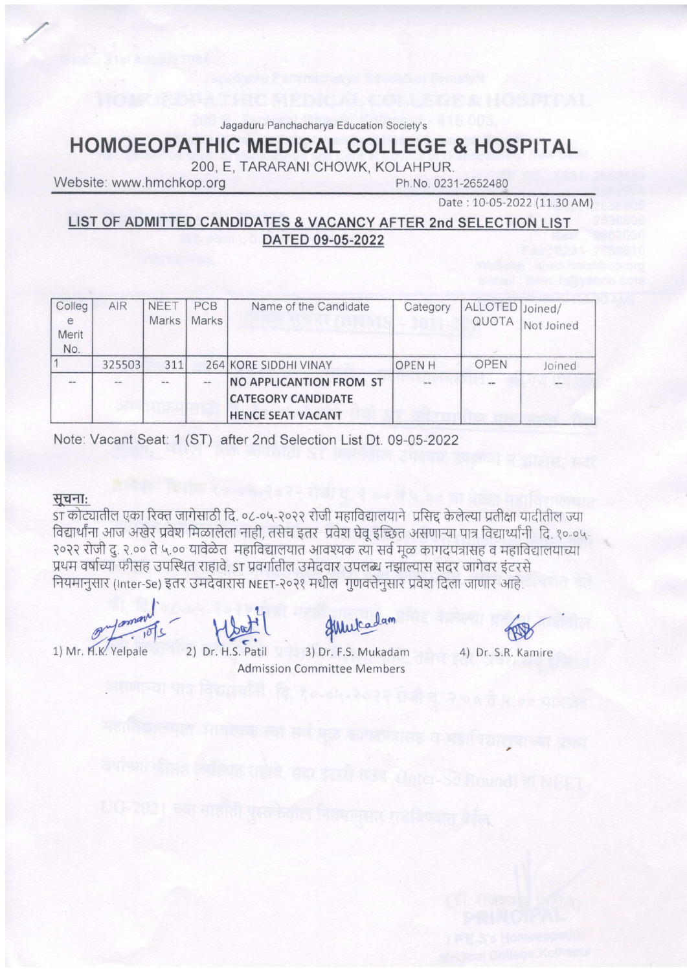Jagaduru Panchacharya Education Society's

# **HOMOEOPATHIC MEDICAL COLLEGE & HOSPITAL**

200, E. TARARANI CHOWK, KOLAHPUR.

Website: www.hmchkop.org

Ph.No. 0231-2652480

Date: 10-05-2022 (11.30 AM)

LIST OF ADMITTED CANDIDATES & VACANCY AFTER 2nd SELECTION LIST DATED 09-05-2022

| Colleg<br>e<br>Merit | AIR    | <b>NEET</b><br>Marks | PCB<br>Marks   | Name of the Candidate                                                                   | Category     | ALLOTED Joined/<br>QUOTA | Not Joined |
|----------------------|--------|----------------------|----------------|-----------------------------------------------------------------------------------------|--------------|--------------------------|------------|
| No.                  | 325503 | 311                  |                | 264 KORE SIDDHI VINAY                                                                   |              | OPEN                     |            |
|                      |        |                      |                |                                                                                         | <b>OPENH</b> |                          | Joined     |
|                      | $-$    | $-1$                 | $\overline{a}$ | <b>NO APPLICANTION FROM ST</b><br><b>CATEGORY CANDIDATE</b><br><b>HENCE SEAT VACANT</b> | $- -$        | $-$                      | $= -1$     |

Note: Vacant Seat: 1 (ST) after 2nd Selection List Dt. 09-05-2022

#### सूचनाः

st कोट्यातील एका रिक्त जागेसाठी दि. ०८-०५-२०२२ रोजी महाविद्यालयाने प्रसिद्द केलेल्या प्रतीक्षा यादीतील ज्या विद्यार्थांना आज अखेर प्रवेश मिळालेला नाही, तसेच इतर प्रवेश घेवू इच्छित असणाऱ्या पात्र विद्यार्थ्यांनी दि. १०-०५-२०२२ रोजी द. २.०० ते ५.०० यावेळेत. महाविद्यालयात आवश्यक त्या सर्व मळ कागदपत्रासह व महाविद्यालयाच्या प्रथम वर्षाच्या फीसह उपस्थित राहावे. ST प्रवर्गातील उमेदवार उपलब्ध नझाल्यास सदर जागेवर इंटरसे नियमानुसार (Inter-Se) इतर उमदेवारास NEET-२०२१ मधील गुणवत्तेनुसार प्रवेश दिला जाणार आहे.

1) Mr. H.K. Yelpale 2) Dr. H.S. Patil

Hulcadam

3) Dr. F.S. Mukadam Admission Committee Members

4) Dr. S.R. Kamire